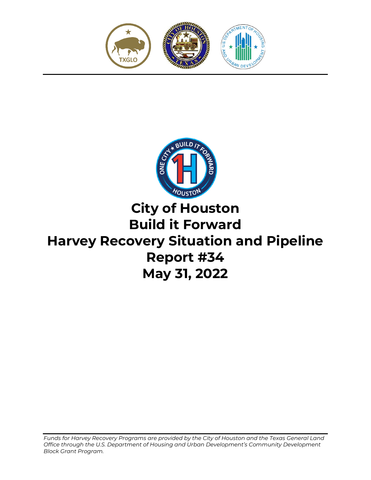



# **City of Houston Build it Forward Harvey Recovery Situation and Pipeline Report #34 May 31, 2022**

*Funds for Harvey Recovery Programs are provided by the City of Houston and the Texas General Land Office through the U.S. Department of Housing and Urban Development's Community Development Block Grant Program.*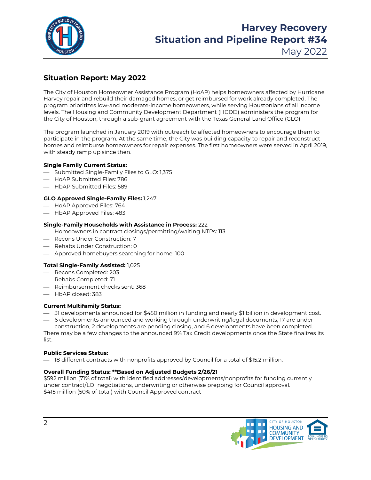

## **Harvey Recovery Situation and Pipeline Report #34**

May 2022

## **Situation Report: May 2022**

The City of Houston Homeowner Assistance Program (HoAP) helps homeowners affected by Hurricane Harvey repair and rebuild their damaged homes, or get reimbursed for work already completed. The program prioritizes low-and moderate-income homeowners, while serving Houstonians of all income levels. The Housing and Community Development Department (HCDD) administers the program for the City of Houston, through a sub-grant agreement with the Texas General Land Office (GLO)

The program launched in January 2019 with outreach to affected homeowners to encourage them to participate in the program. At the same time, the City was building capacity to repair and reconstruct homes and reimburse homeowners for repair expenses. The first homeowners were served in April 2019, with steady ramp up since then.

#### **Single Family Current Status:**

- Submitted Single-Family Files to GLO: 1,375
- HoAP Submitted Files: 786
- HbAP Submitted Files: 589

#### **GLO Approved Single-Family Files:** 1,247

- HoAP Approved Files: 764
- HbAP Approved Files: 483

#### **Single-Family Households with Assistance in Process:** 222

- $-$  Homeowners in contract closings/permitting/waiting NTPs: 113
- $-$  Recons Under Construction: 7
- Rehabs Under Construction: 0
- Approved homebuyers searching for home: 100

#### **Total Single-Family Assisted:** 1,025

- Recons Completed: 203
- Rehabs Completed: 71
- Reimbursement checks sent: 368
- HbAP closed: 383

#### **Current Multifamily Status:**

- 31 developments announced for \$450 million in funding and nearly \$1 billion in development cost.
- 6 developments announced and working through underwriting/legal documents, 17 are under construction, 2 developments are pending closing, and 6 developments have been completed.

There may be a few changes to the announced 9% Tax Credit developments once the State finalizes its list.

#### **Public Services Status:**

 $-$  18 different contracts with nonprofits approved by Council for a total of \$15.2 million.

#### **Overall Funding Status: \*\*Based on Adjusted Budgets 2/26/21**

\$592 million (71% of total) with identified addresses/developments/nonprofits for funding currently under contract/LOI negotiations, underwriting or otherwise prepping for Council approval. \$415 million (50% of total) with Council Approved contract

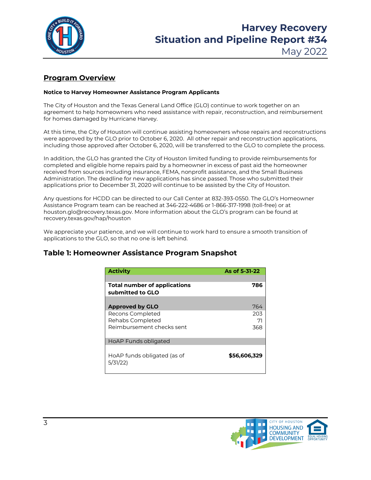

## **Harvey Recovery Situation and Pipeline Report #34**

## May 2022

### **Program Overview**

#### **Notice to Harvey Homeowner Assistance Program Applicants**

The City of Houston and the Texas General Land Office (GLO) continue to work together on an agreement to help homeowners who need assistance with repair, reconstruction, and reimbursement for homes damaged by Hurricane Harvey.

At this time, the City of Houston will continue assisting homeowners whose repairs and reconstructions were approved by the GLO prior to October 6, 2020. All other repair and reconstruction applications, including those approved after October 6, 2020, will be transferred to the GLO to complete the process.

In addition, the GLO has granted the City of Houston limited funding to provide reimbursements for completed and eligible home repairs paid by a homeowner in excess of past aid the homeowner received from sources including insurance, FEMA, nonprofit assistance, and the Small Business Administration. The deadline for new applications has since passed. Those who submitted their applications prior to December 31, 2020 will continue to be assisted by the City of Houston.

Any questions for HCDD can be directed to our Call Center at 832-393-0550. The GLO's Homeowner Assistance Program team can be reached at 346-222-4686 or 1-866-317-1998 (toll-free) or at houston.glo@recovery.texas.gov. More information about the GLO's program can be found at recovery.texas.gov/hap/houston

We appreciate your patience, and we will continue to work hard to ensure a smooth transition of applications to the GLO, so that no one is left behind.

### **Table 1: Homeowner Assistance Program Snapshot**

| <b>Activity</b>                                         | As of 5-31-22 |
|---------------------------------------------------------|---------------|
| <b>Total number of applications</b><br>submitted to GLO | 786           |
| <b>Approved by GLO</b>                                  | 764           |
| Recons Completed<br>Rehabs Completed                    | 203<br>71     |
| Reimbursement checks sent                               | 368           |
| HoAP Funds obligated                                    |               |
| HoAP funds obligated (as of<br>5/31/22                  | \$56,606,329  |

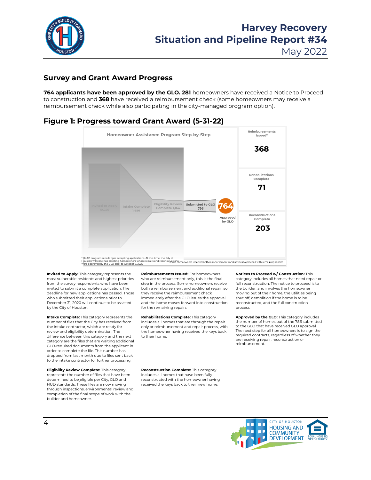

May 2022

#### **Survey and Grant Award Progress**

**764 applicants have been approved by the GLO. 281** homeowners have received a Notice to Proceed to construction and **368** have received a reimbursement check (some homeowners may receive a reimbursement check while also participating in the city-managed program option).

#### **Figure 1: Progress toward Grant Award (5-31-22)**



\* HoAP program is no longer accepting applications. At this time, the City of Houston will continue assisting homeowners whose repairs and reconstructions were approved by the GLO prior to October 6, 2020

**Invited to Apply:** This category represents the most vulnerable residents and highest priorities from the survey respondents who have been invited to submit a complete application. The deadline for new applications has passed. Those who submitted their applications prior to December 31, 2020 will continue to be assisted by the City of Houston.

**Intake Complete:** This category represents the number of files that the City has received from the intake contractor, which are ready for review and eligibility determination. The difference between this category and the next category are the files that are waiting additional GLO-required documents from the applicant in order to complete the file. This number has dropped from last month due to files sent back to the intake contractor for further processing.

**Eligibility Review Complete:** This category represents the number of files that have been determined to be eligible per City, GLO and HUD standards. These files are now moving through inspections, environmental review and completion of the final scope of work with the builder and homeowner.

**Reimbursements Issued:** For homeowners who are reimbursement only, this is the final step in the process. Some homeowners receive both a reimbursement and additional repair, so they receive the reimbursement check immediately after the GLO issues the approval, and the home moves forward into construction for the remaining repairs.

**Rehabilitations Complete:** This category includes all homes that are through the repair only or reimbursement and repair process, with the homeowner having received the keys back to their home.

**Reconstruction Complete:** This category includes all homes that have been fully reconstructed with the homeowner having received the keys back to their new home.

the builder, and involves the homeowner moving out of their home, the utilities being shut off, demolition if the home is to be reconstructed, and the full construction process. **Approved by the GLO:** This category includes

**Notices to Proceed w/ Construction:** This category includes all homes that need repair or full reconstruction. The notice to proceed is to

the number of homes out of the 786 submitted to the GLO that have received GLO approval. The next step for all homeowners is to sign the required contracts, regardless of whether they are receiving repair, reconstruction or reimbursement.

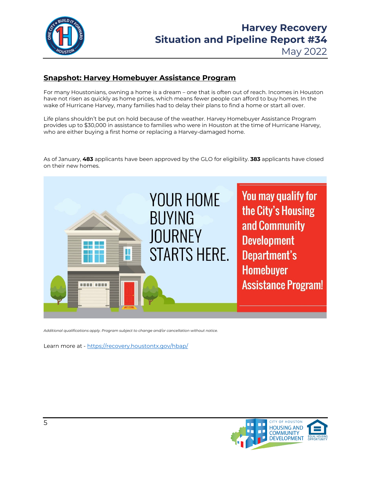

## **Snapshot: Harvey Homebuyer Assistance Program**

For many Houstonians, owning a home is a dream – one that is often out of reach. Incomes in Houston have not risen as quickly as home prices, which means fewer people can afford to buy homes. In the wake of Hurricane Harvey, many families had to delay their plans to find a home or start all over.

Life plans shouldn't be put on hold because of the weather. Harvey Homebuyer Assistance Program provides up to \$30,000 in assistance to families who were in Houston at the time of Hurricane Harvey, who are either buying a first home or replacing a Harvey-damaged home.

As of January, **483** applicants have been approved by the GLO for eligibility. **383** applicants have closed on their new homes.



*Additional qualifications apply. Program subject to change and/or cancellation without notice.* 

Learn more at - https://recovery.houstontx.gov/hbap/

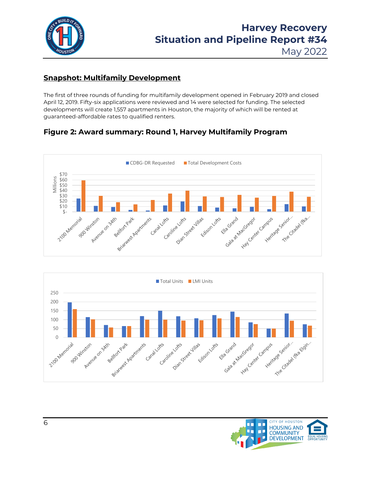

May 2022

## **Snapshot: Multifamily Development**

The first of three rounds of funding for multifamily development opened in February 2019 and closed April 12, 2019. Fifty-six applications were reviewed and 14 were selected for funding. The selected developments will create 1,557 apartments in Houston, the majority of which will be rented at guaranteed-affordable rates to qualified renters.

## **Figure 2: Award summary: Round 1, Harvey Multifamily Program**





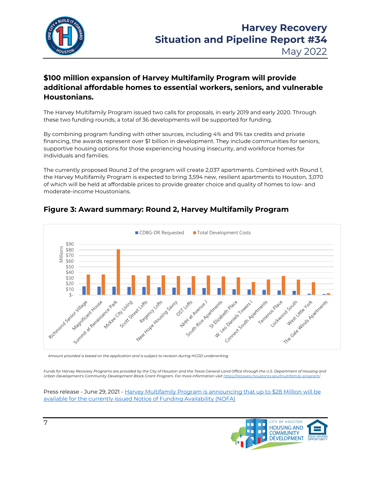

## **\$100 million expansion of Harvey Multifamily Program will provide additional affordable homes to essential workers, seniors, and vulnerable Houstonians.**

The Harvey Multifamily Program issued two calls for proposals, in early 2019 and early 2020. Through these two funding rounds, a total of 36 developments will be supported for funding.

By combining program funding with other sources, including 4% and 9% tax credits and private financing, the awards represent over \$1 billion in development. They include communities for seniors, supportive housing options for those experiencing housing insecurity, and workforce homes for individuals and families.

The currently proposed Round 2 of the program will create 2,037 apartments. Combined with Round 1, the Harvey Multifamily Program is expected to bring 3,594 new, resilient apartments to Houston, 3,070 of which will be held at affordable prices to provide greater choice and quality of homes to low- and moderate-income Houstonians.



## **Figure 3: Award summary: Round 2, Harvey Multifamily Program**

*Amount provided is based on the application and is subject to revision during HCDD underwriting.*

*Funds for Harvey Recovery Programs are provided by the City of Houston and the Texas General Land Office through the U.S. Department of Housing and Urban Development's Community Development Block Grant Program. For more information visi[t https://recovery.houstontx.gov/multifamily-program/](https://recovery.houstontx.gov/multifamily-program/)* 

Press release - June 29, 2021 - [Harvey Multifamily Program is announcing that up to \\$28 Million will be](https://recovery.houstontx.gov/harvey-multifamily-program-is-announcing-that-up-to-28-million-will-be-available-for-the-currently-issued-notice-of-funding-availability-nofa/)  [available for the currently issued Notice of Funding Availability \(NOFA\)](https://recovery.houstontx.gov/harvey-multifamily-program-is-announcing-that-up-to-28-million-will-be-available-for-the-currently-issued-notice-of-funding-availability-nofa/)

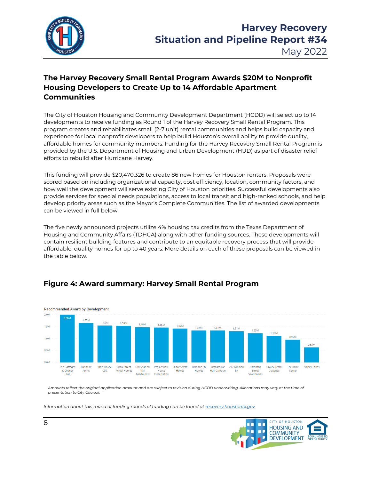

## **The Harvey Recovery Small Rental Program Awards \$20M to Nonprofit Housing Developers to Create Up to 14 Affordable Apartment Communities**

The City of Houston Housing and Community Development Department (HCDD) will select up to 14 developments to receive funding as Round 1 of the Harvey Recovery Small Rental Program. This program creates and rehabilitates small (2-7 unit) rental communities and helps build capacity and experience for local nonprofit developers to help build Houston's overall ability to provide quality, affordable homes for community members. Funding for the Harvey Recovery Small Rental Program is provided by the U.S. Department of Housing and Urban Development (HUD) as part of disaster relief efforts to rebuild after Hurricane Harvey.

This funding will provide \$20,470,326 to create 86 new homes for Houston renters. Proposals were scored based on including organizational capacity, cost efficiency, location, community factors, and how well the development will serve existing City of Houston priorities. Successful developments also provide services for special needs populations, access to local transit and high-ranked schools, and help develop priority areas such as the Mayor's Complete Communities. The list of awarded developments can be viewed in full below.

The five newly announced projects utilize 4% housing tax credits from the Texas Department of Housing and Community Affairs (TDHCA) along with other funding sources. These developments will contain resilient building features and contribute to an equitable recovery process that will provide affordable, quality homes for up to 40 years. More details on each of these proposals can be viewed in the table below.

### **Figure 4: Award summary: Harvey Small Rental Program**



*Amounts reflect the original application amount and are subject to revision during HCDD underwriting. Allocations may vary at the time of presentation to City Council.*

*Information about this round of funding rounds of funding can be found a[t recovery.houstontx.gov](https://recovery.houstontx.gov/hsrp/)*